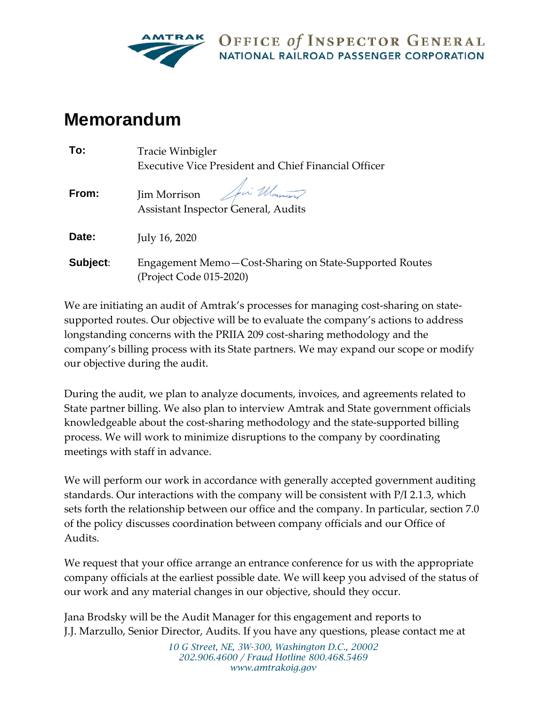

OFFICE of INSPECTOR GENERAL **NATIONAL RAILROAD PASSENGER CORPORATION** 

## **Memorandum**

| To:      | Tracie Winbigler                                                                  |
|----------|-----------------------------------------------------------------------------------|
|          | Executive Vice President and Chief Financial Officer                              |
| From:    | Jim Morrison<br>Assistant Inspector General, Audits                               |
| Date:    | July 16, 2020                                                                     |
| Subject: | Engagement Memo-Cost-Sharing on State-Supported Routes<br>(Project Code 015-2020) |

We are initiating an audit of Amtrak's processes for managing cost-sharing on statesupported routes. Our objective will be to evaluate the company's actions to address longstanding concerns with the PRIIA 209 cost-sharing methodology and the company's billing process with its State partners. We may expand our scope or modify our objective during the audit.

During the audit, we plan to analyze documents, invoices, and agreements related to State partner billing. We also plan to interview Amtrak and State government officials knowledgeable about the cost-sharing methodology and the state-supported billing process. We will work to minimize disruptions to the company by coordinating meetings with staff in advance.

We will perform our work in accordance with generally accepted government auditing standards. Our interactions with the company will be consistent with P/I 2.1.3, which sets forth the relationship between our office and the company. In particular, section 7.0 of the policy discusses coordination between company officials and our Office of Audits.

We request that your office arrange an entrance conference for us with the appropriate company officials at the earliest possible date. We will keep you advised of the status of our work and any material changes in our objective, should they occur.

Jana Brodsky will be the Audit Manager for this engagement and reports to J.J. Marzullo, Senior Director, Audits. If you have any questions, please contact me at

> *10 G Street, NE, 3W-300, Washington D.C., 20002 202.906.4600 / Fraud Hotline 800.468.5469 www.amtrakoig.gov*